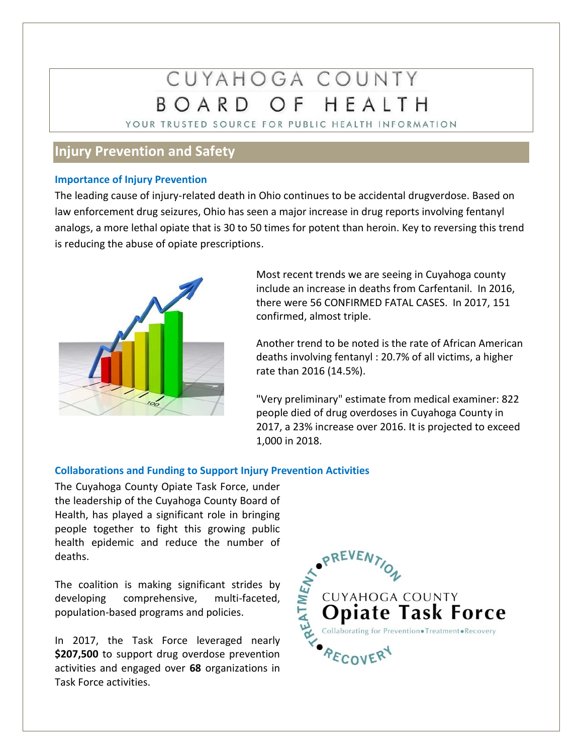# CUYAHOGA COUNTY BOARD OF HEALTH

YOUR TRUSTED SOURCE FOR PUBLIC HEALTH INFORMATION

## **Injury Prevention and Safety**

#### **Importance of Injury Prevention**

The leading cause of injury-related death in Ohio continues to be accidental drugverdose. Based on law enforcement drug seizures, Ohio has seen a major increase in drug reports involving fentanyl analogs, a more lethal opiate that is 30 to 50 times for potent than heroin. Key to reversing this trend is reducing the abuse of opiate prescriptions.



Most recent trends we are seeing in Cuyahoga county include an increase in deaths from Carfentanil. In 2016, there were 56 CONFIRMED FATAL CASES. In 2017, 151 confirmed, almost triple.

Another trend to be noted is the rate of African American deaths involving fentanyl : 20.7% of all victims, a higher rate than 2016 (14.5%).

"Very preliminary" estimate from medical examiner: 822 people died of drug overdoses in Cuyahoga County in 2017, a 23% increase over 2016. It is projected to exceed 1,000 in 2018.

#### **Collaborations and Funding to Support Injury Prevention Activities**

The Cuyahoga County Opiate Task Force, under the leadership of the Cuyahoga County Board of Health, has played a significant role in bringing people together to fight this growing public health epidemic and reduce the number of deaths.

The coalition is making significant strides by developing comprehensive, multi-faceted, population-based programs and policies.

In 2017, the Task Force leveraged nearly **\$207,500** to support drug overdose prevention activities and engaged over **68** organizations in Task Force activities.

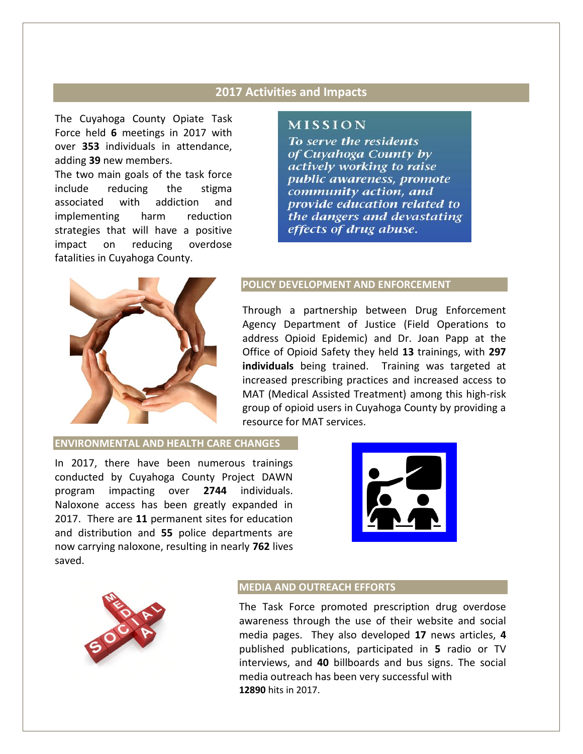### **2017 Activities and Impacts**

The Cuyahoga County Opiate Task Force held **6** meetings in 2017 with over **353** individuals in attendance, adding **39** new members.

The two main goals of the task force include reducing the stigma associated with addiction and implementing harm reduction strategies that will have a positive impact on reducing overdose fatalities in Cuyahoga County.



#### **MISSION**

To serve the residents of Cuyahoga County by actively working to raise public awareness, promote community action, and provide education related to the dangers and devastating effects of drug abuse.

#### **POLICY DEVELOPMENT AND ENFORCEMENT**

Through a partnership between Drug Enforcement Agency Department of Justice (Field Operations to address Opioid Epidemic) and Dr. Joan Papp at the Office of Opioid Safety they held **13** trainings, with **297 individuals** being trained. Training was targeted at increased prescribing practices and increased access to MAT (Medical Assisted Treatment) among this high-risk group of opioid users in Cuyahoga County by providing a resource for MAT services.

#### **ENVIRONMENTAL AND HEALTH CARE CHANGES**

In 2017, there have been numerous trainings conducted by Cuyahoga County Project DAWN program impacting over **2744** individuals. Naloxone access has been greatly expanded in 2017. There are **11** permanent sites for education and distribution and **55** police departments are now carrying naloxone, resulting in nearly **762** lives saved.





#### **MEDIA AND OUTREACH EFFORTS**

The Task Force promoted prescription drug overdose awareness through the use of their website and social media pages. They also developed **17** news articles, **4**  published publications, participated in **5** radio or TV interviews, and **40** billboards and bus signs. The social media outreach has been very successful with **12890** hits in 2017.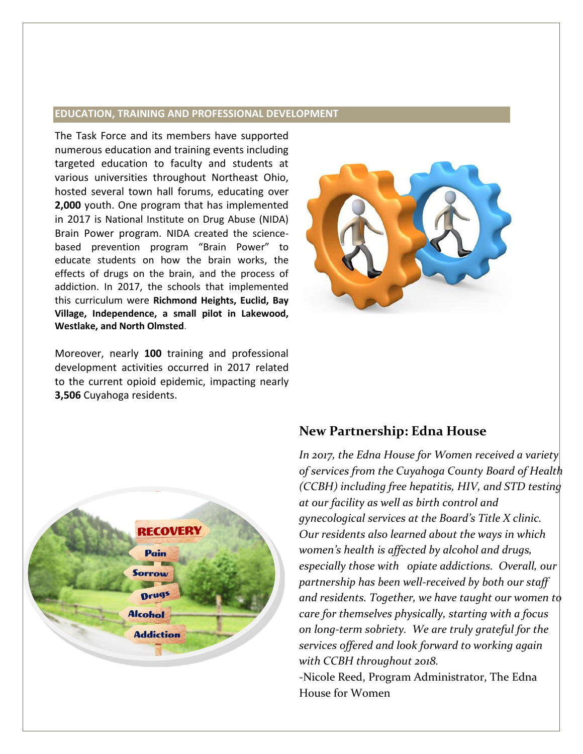#### **EDUCATION, TRAINING AND PROFESSIONAL DEVELOPMENT**

The Task Force and its members have supported numerous education and training events including targeted education to faculty and students at various universities throughout Northeast Ohio, hosted several town hall forums, educating over **2,000** youth. One program that has implemented in 2017 is National Institute on Drug Abuse (NIDA) Brain Power program. NIDA created the sciencebased prevention program "Brain Power" to educate students on how the brain works, the effects of drugs on the brain, and the process of addiction. In 2017, the schools that implemented this curriculum were **Richmond Heights, Euclid, Bay Village, Independence, a small pilot in Lakewood, Westlake, and North Olmsted**.



Moreover, nearly **100** training and professional development activities occurred in 2017 related to the current opioid epidemic, impacting nearly **3,506** Cuyahoga residents.



## **New Partnership: Edna House**

*In 2017, the Edna House for Women received a variety of services from the Cuyahoga County Board of Health (CCBH) including free hepatitis, HIV, and STD testing at our facility as well as birth control and gynecological services at the Board's Title X clinic. Our residents also learned about the ways in which women's health is affected by alcohol and drugs, especially those with opiate addictions. Overall, our partnership has been well-received by both our staff and residents. Together, we have taught our women to care for themselves physically, starting with a focus on long-term sobriety. We are truly grateful for the services offered and look forward to working again with CCBH throughout 2018.* -Nicole Reed, Program Administrator, The Edna House for Women